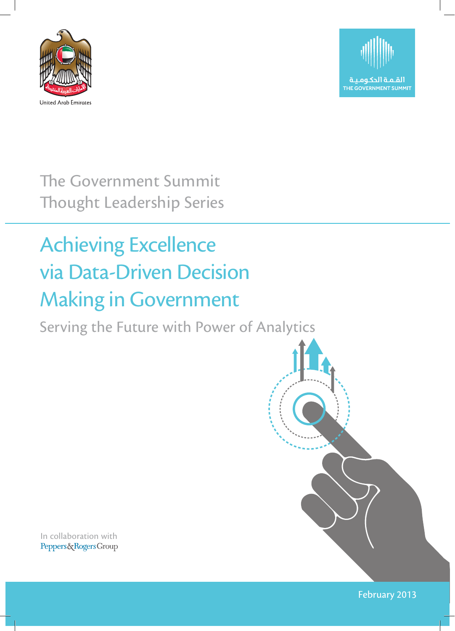



The Government Summit Thought Leadership Series

### Achieving Excellence via Data-Driven Decision Making in Government

Serving the Future with Power of Analytics

In collaboration withPeppers&RogersGroup

February 2013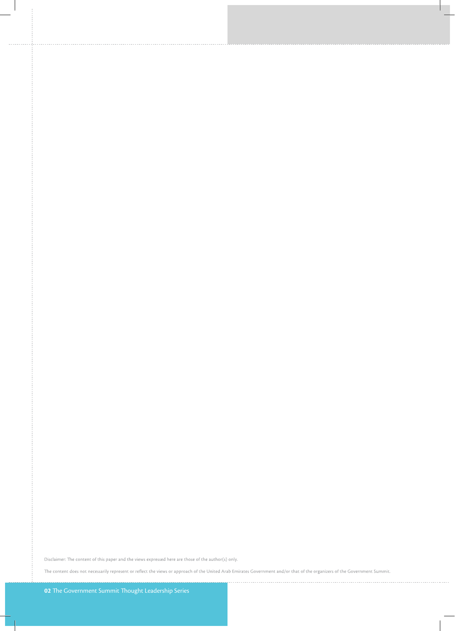Disclaimer: The content of this paper and the views expressed here are those of the author(s) only.

The content does not necessarily represent or reflect the views or approach of the United Arab Emirates Government and/or that of the organizers of the Government Summit.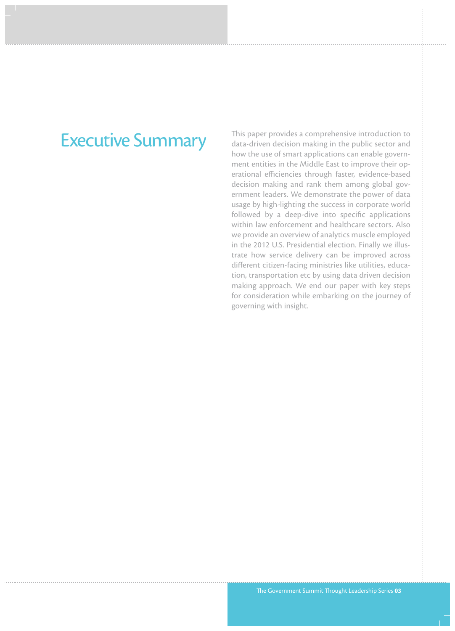### Executive Summary

This paper provides a comprehensive introduction to data-driven decision making in the public sector and how the use of smart applications can enable government entities in the Middle East to improve their operational efficiencies through faster, evidence-based decision making and rank them among global government leaders. We demonstrate the power of data usage by high-lighting the success in corporate world followed by a deep-dive into specific applications within law enforcement and healthcare sectors. Also we provide an overview of analytics muscle employed in the 2012 U.S. Presidential election. Finally we illustrate how service delivery can be improved across different citizen-facing ministries like utilities, education, transportation etc by using data driven decision making approach. We end our paper with key steps for consideration while embarking on the journey of governing with insight.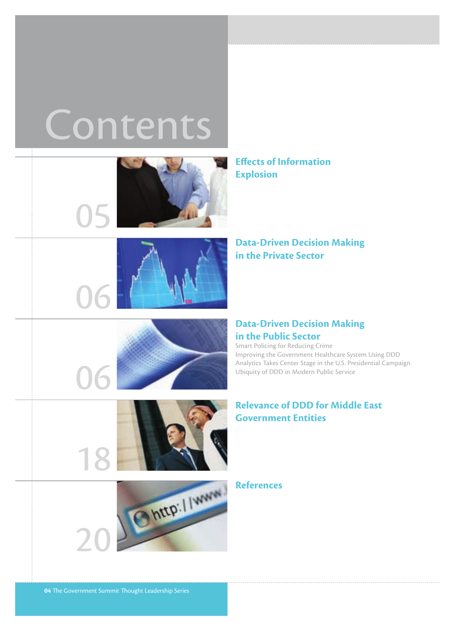# **Contents**



**Effects of Information Explosion**



**Data-Driven Decision Making in the Private Sector**



#### **Data-Driven Decision Making in the Public Sector**

Smart Policing for Reducing Crime Improving the Government Healthcare System Using DDD Analytics Takes Center Stage in the U.S. Presidential Campaign Ubiquity of DDD in Modern Public Service

#### **Relevance of DDD for Middle East Government Entities**



**References**

06

18

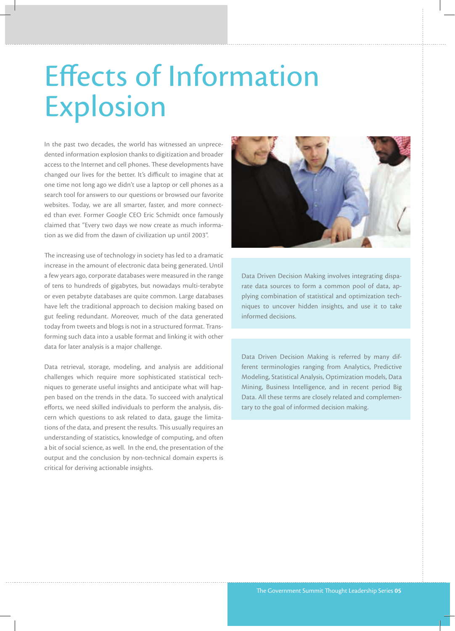## Effects of Information Explosion

In the past two decades, the world has witnessed an unprecedented information explosion thanks to digitization and broader access to the Internet and cell phones. These developments have changed our lives for the better. It's difficult to imagine that at one time not long ago we didn't use a laptop or cell phones as a search tool for answers to our questions or browsed our favorite websites. Today, we are all smarter, faster, and more connected than ever. Former Google CEO Eric Schmidt once famously claimed that "Every two days we now create as much information as we did from the dawn of civilization up until 2003".

The increasing use of technology in society has led to a dramatic increase in the amount of electronic data being generated. Until a few years ago, corporate databases were measured in the range of tens to hundreds of gigabytes, but nowadays multi-terabyte or even petabyte databases are quite common. Large databases have left the traditional approach to decision making based on gut feeling redundant. Moreover, much of the data generated today from tweets and blogs is not in a structured format. Transforming such data into a usable format and linking it with other data for later analysis is a major challenge.

Data retrieval, storage, modeling, and analysis are additional challenges which require more sophisticated statistical techniques to generate useful insights and anticipate what will happen based on the trends in the data. To succeed with analytical efforts, we need skilled individuals to perform the analysis, discern which questions to ask related to data, gauge the limitations of the data, and present the results. This usually requires an understanding of statistics, knowledge of computing, and often a bit of social science, as well. In the end, the presentation of the output and the conclusion by non-technical domain experts is critical for deriving actionable insights.



Data Driven Decision Making involves integrating disparate data sources to form a common pool of data, applying combination of statistical and optimization techniques to uncover hidden insights, and use it to take informed decisions.

Data Driven Decision Making is referred by many different terminologies ranging from Analytics, Predictive Modeling, Statistical Analysis, Optimization models, Data Mining, Business Intelligence, and in recent period Big Data. All these terms are closely related and complementary to the goal of informed decision making.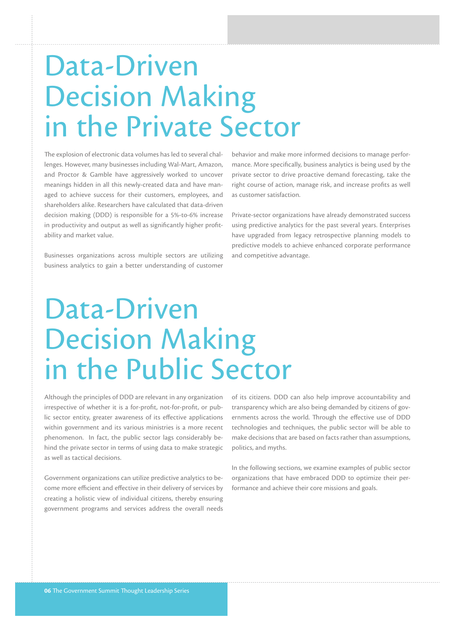## Data-Driven Decision Making in the Private Sector

The explosion of electronic data volumes has led to several challenges. However, many businesses including Wal-Mart, Amazon, and Proctor & Gamble have aggressively worked to uncover meanings hidden in all this newly-created data and have managed to achieve success for their customers, employees, and shareholders alike. Researchers have calculated that data-driven decision making (DDD) is responsible for a 5%-to-6% increase in productivity and output as well as significantly higher profitability and market value.

Businesses organizations across multiple sectors are utilizing business analytics to gain a better understanding of customer

behavior and make more informed decisions to manage performance. More specifically, business analytics is being used by the private sector to drive proactive demand forecasting, take the right course of action, manage risk, and increase profits as well as customer satisfaction.

Private-sector organizations have already demonstrated success using predictive analytics for the past several years. Enterprises have upgraded from legacy retrospective planning models to predictive models to achieve enhanced corporate performance and competitive advantage.

## Data-Driven Decision Making in the Public Sector

Although the principles of DDD are relevant in any organization irrespective of whether it is a for-profit, not-for-profit, or public sector entity, greater awareness of its effective applications within government and its various ministries is a more recent phenomenon. In fact, the public sector lags considerably behind the private sector in terms of using data to make strategic as well as tactical decisions.

Government organizations can utilize predictive analytics to become more efficient and effective in their delivery of services by creating a holistic view of individual citizens, thereby ensuring government programs and services address the overall needs

of its citizens. DDD can also help improve accountability and transparency which are also being demanded by citizens of governments across the world. Through the effective use of DDD technologies and techniques, the public sector will be able to make decisions that are based on facts rather than assumptions, politics, and myths.

In the following sections, we examine examples of public sector organizations that have embraced DDD to optimize their performance and achieve their core missions and goals.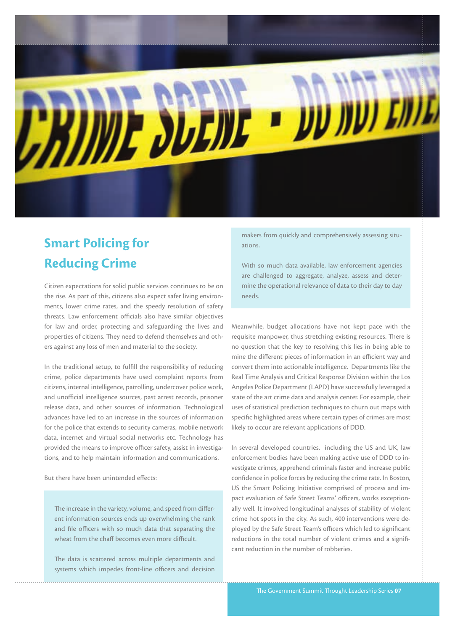

### **Smart Policing for Reducing Crime**

Citizen expectations for solid public services continues to be on the rise. As part of this, citizens also expect safer living environments, lower crime rates, and the speedy resolution of safety threats. Law enforcement officials also have similar objectives for law and order, protecting and safeguarding the lives and properties of citizens. They need to defend themselves and others against any loss of men and material to the society.

In the traditional setup, to fulfill the responsibility of reducing crime, police departments have used complaint reports from citizens, internal intelligence, patrolling, undercover police work, and unofficial intelligence sources, past arrest records, prisoner release data, and other sources of information. Technological advances have led to an increase in the sources of information for the police that extends to security cameras, mobile network data, internet and virtual social networks etc. Technology has provided the means to improve officer safety, assist in investigations, and to help maintain information and communications.

But there have been unintended effects:

The increase in the variety, volume, and speed from different information sources ends up overwhelming the rank and file officers with so much data that separating the wheat from the chaff becomes even more difficult.

The data is scattered across multiple departments and systems which impedes front-line officers and decision makers from quickly and comprehensively assessing situations.

With so much data available, law enforcement agencies are challenged to aggregate, analyze, assess and determine the operational relevance of data to their day to day needs.

Meanwhile, budget allocations have not kept pace with the requisite manpower, thus stretching existing resources. There is no question that the key to resolving this lies in being able to mine the different pieces of information in an efficient way and convert them into actionable intelligence. Departments like the Real Time Analysis and Critical Response Division within the Los Angeles Police Department (LAPD) have successfully leveraged a state of the art crime data and analysis center. For example, their uses of statistical prediction techniques to churn out maps with specific highlighted areas where certain types of crimes are most likely to occur are relevant applications of DDD.

In several developed countries, including the US and UK, law enforcement bodies have been making active use of DDD to investigate crimes, apprehend criminals faster and increase public confidence in police forces by reducing the crime rate. In Boston, US the Smart Policing Initiative comprised of process and impact evaluation of Safe Street Teams' officers, works exceptionally well. It involved longitudinal analyses of stability of violent crime hot spots in the city. As such, 400 interventions were deployed by the Safe Street Team's officers which led to significant reductions in the total number of violent crimes and a significant reduction in the number of robberies.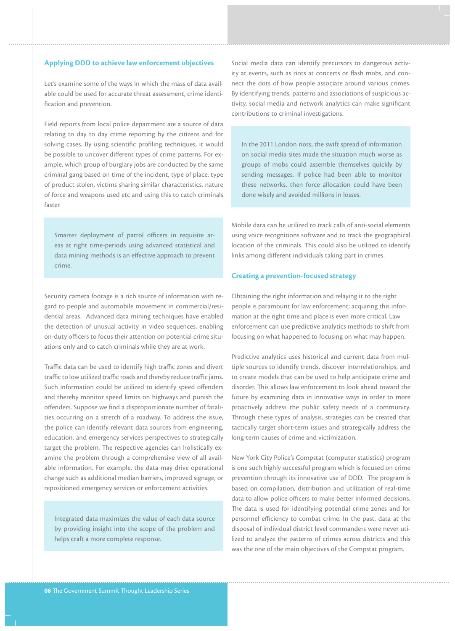#### **Applying DDD to achieve law enforcement objectives**

Let's examine some of the ways in which the mass of data available could be used for accurate threat assessment, crime identification and prevention.

Field reports from local police department are a source of data relating to day to day crime reporting by the citizens and for solving cases. By using scientific profiling techniques, it would be possible to uncover different types of crime patterns. For example, which group of burglary jobs are conducted by the same criminal gang based on time of the incident, type of place, type of product stolen, victims sharing similar characteristics, nature of force and weapons used etc and using this to catch criminals faster.

Smarter deployment of patrol officers in requisite areas at right time-periods using advanced statistical and data mining methods is an effective approach to prevent crime.

Security camera footage is a rich source of information with regard to people and automobile movement in commercial/residential areas. Advanced data mining techniques have enabled the detection of unusual activity in video sequences, enabling on-duty officers to focus their attention on potential crime situations only and to catch criminals while they are at work.

Traffic data can be used to identify high traffic zones and divert traffic to low utilized traffic roads and thereby reduce traffic jams. Such information could be utilized to identify speed offenders and thereby monitor speed limits on highways and punish the offenders. Suppose we find a disproportionate number of fatalities occurring on a stretch of a roadway. To address the issue, the police can identify relevant data sources from engineering, education, and emergency services perspectives to strategically target the problem. The respective agencies can holistically examine the problem through a comprehensive view of all available information. For example, the data may drive operational change such as additional median barriers, improved signage, or repositioned emergency services or enforcement activities.

Integrated data maximizes the value of each data source by providing insight into the scope of the problem and helps craft a more complete response.

Social media data can identify precursors to dangerous activity at events, such as riots at concerts or flash mobs, and connect the dots of how people associate around various crimes. By identifying trends, patterns and associations of suspicious activity, social media and network analytics can make significant contributions to criminal investigations.

In the 2011 London riots, the swift spread of information on social media sites made the situation much worse as groups of mobs could assemble themselves quickly by sending messages. If police had been able to monitor these networks, then force allocation could have been done wisely and avoided millions in losses.

Mobile data can be utilized to track calls of anti-social elements using voice recognitions software and to track the geographical location of the criminals. This could also be utilized to identify links among different individuals taking part in crimes.

#### **Creating a prevention-focused strategy**

Obtaining the right information and relaying it to the right people is paramount for law enforcement; acquiring this information at the right time and place is even more critical. Law enforcement can use predictive analytics methods to shift from focusing on what happened to focusing on what may happen.

Predictive analytics uses historical and current data from multiple sources to identify trends, discover interrelationships, and to create models that can be used to help anticipate crime and disorder. This allows law enforcement to look ahead toward the future by examining data in innovative ways in order to more proactively address the public safety needs of a community. Through these types of analysis, strategies can be created that tactically target short-term issues and strategically address the long-term causes of crime and victimization.

New York City Police's Compstat (computer statistics) program is one such highly successful program which is focused on crime prevention through its innovative use of DDD. The program is based on compilation, distribution and utilization of real-time data to allow police officers to make better informed decisions. The data is used for identifying potential crime zones and for personnel efficiency to combat crime. In the past, data at the disposal of individual district level commanders were never utilized to analyze the patterns of crimes across districts and this was the one of the main objectives of the Compstat program.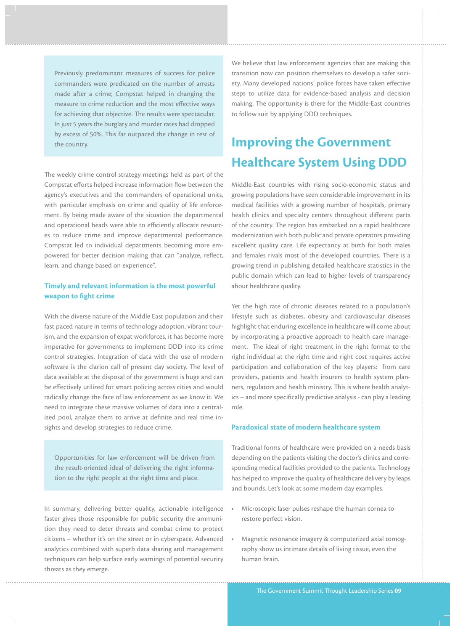Previously predominant measures of success for police commanders were predicated on the number of arrests made after a crime; Compstat helped in changing the measure to crime reduction and the most effective ways for achieving that objective. The results were spectacular. In just 5 years the burglary and murder rates had dropped by excess of 50%. This far outpaced the change in rest of the country.

The weekly crime control strategy meetings held as part of the Compstat efforts helped increase information flow between the agency's executives and the commanders of operational units, with particular emphasis on crime and quality of life enforcement. By being made aware of the situation the departmental and operational heads were able to efficiently allocate resources to reduce crime and improve departmental performance. Compstat led to individual departments becoming more empowered for better decision making that can "analyze, reflect, learn, and change based on experience".

#### **Timely and relevant information is the most powerful weapon to fight crime**

With the diverse nature of the Middle East population and their fast paced nature in terms of technology adoption, vibrant tourism, and the expansion of expat workforces, it has become more imperative for governments to implement DDD into its crime control strategies. Integration of data with the use of modern software is the clarion call of present day society. The level of data available at the disposal of the government is huge and can be effectively utilized for smart policing across cities and would radically change the face of law enforcement as we know it. We need to integrate these massive volumes of data into a centralized pool, analyze them to arrive at definite and real time insights and develop strategies to reduce crime.

Opportunities for law enforcement will be driven from the result-oriented ideal of delivering the right information to the right people at the right time and place.

In summary, delivering better quality, actionable intelligence faster gives those responsible for public security the ammunition they need to deter threats and combat crime to protect citizens – whether it's on the street or in cyberspace. Advanced analytics combined with superb data sharing and management techniques can help surface early warnings of potential security threats as they emerge.

We believe that law enforcement agencies that are making this transition now can position themselves to develop a safer society. Many developed nations' police forces have taken effective steps to utilize data for evidence-based analysis and decision making. The opportunity is there for the Middle-East countries to follow suit by applying DDD techniques.

### **Improving the Government Healthcare System Using DDD**

Middle-East countries with rising socio-economic status and growing populations have seen considerable improvement in its medical facilities with a growing number of hospitals, primary health clinics and specialty centers throughout different parts of the country. The region has embarked on a rapid healthcare modernization with both public and private operators providing excellent quality care. Life expectancy at birth for both males and females rivals most of the developed countries. There is a growing trend in publishing detailed healthcare statistics in the public domain which can lead to higher levels of transparency about healthcare quality.

Yet the high rate of chronic diseases related to a population's lifestyle such as diabetes, obesity and cardiovascular diseases highlight that enduring excellence in healthcare will come about by incorporating a proactive approach to health care management. The ideal of right treatment in the right format to the right individual at the right time and right cost requires active participation and collaboration of the key players: from care providers, patients and health insurers to health system planners, regulators and health ministry. This is where health analytics – and more specifically predictive analysis - can play a leading role.

#### **Paradoxical state of modern healthcare system**

Traditional forms of healthcare were provided on a needs basis depending on the patients visiting the doctor's clinics and corresponding medical facilities provided to the patients. Technology has helped to improve the quality of healthcare delivery by leaps and bounds. Let's look at some modern day examples.

- Microscopic laser pulses reshape the human cornea to restore perfect vision.
- Magnetic resonance imagery & computerized axial tomography show us intimate details of living tissue, even the human brain.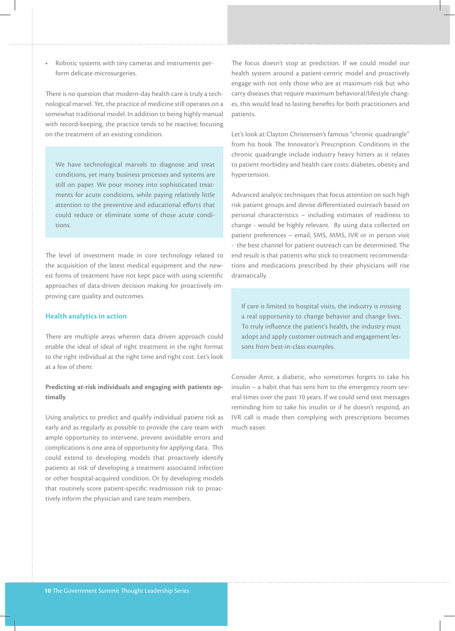Robotic systems with tiny cameras and instruments perform delicate microsurgeries.

There is no question that modern-day health care is truly a technological marvel. Yet, the practice of medicine still operates on a somewhat traditional model. In addition to being highly manual with record-keeping, the practice tends to be reactive; focusing on the treatment of an existing condition.

We have technological marvels to diagnose and treat conditions, yet many business processes and systems are still on paper. We pour money into sophisticated treatments for acute conditions, while paying relatively little attention to the preventive and educational efforts that could reduce or eliminate some of those acute conditions.

The level of investment made in core technology related to the acquisition of the latest medical equipment and the newest forms of treatment have not kept pace with using scientific approaches of data-driven decision making for proactively improving care quality and outcomes.

#### **Health analytics in action**

There are multiple areas wherein data driven approach could enable the ideal of ideal of right treatment in the right format to the right individual at the right time and right cost. Let's look at a few of them:

#### **Predicting at-risk individuals and engaging with patients optimally**

Using analytics to predict and qualify individual patient risk as early and as regularly as possible to provide the care team with ample opportunity to intervene, prevent avoidable errors and complications is one area of opportunity for applying data. This could extend to developing models that proactively identify patients at risk of developing a treatment associated infection or other hospital-acquired condition. Or by developing models that routinely score patient-specific readmission risk to proactively inform the physician and care team members.

The focus doesn't stop at prediction. If we could model our health system around a patient-centric model and proactively engage with not only those who are at maximum risk but who carry diseases that require maximum behavioral/lifestyle changes, this would lead to lasting benefits for both practitioners and patients.

Let's look at Clayton Christensen's famous "chronic quadrangle" from his book The Innovator's Prescription. Conditions in the chronic quadrangle include industry heavy hitters as it relates to patient morbidity and health care costs: diabetes, obesity and hypertension.

Advanced analytic techniques that focus attention on such high risk patient groups and devise differentiated outreach based on personal characteristics – including estimates of readiness to change - would be highly relevant. By using data collected on patient preferences – email, SMS, MMS, IVR or in person visit - the best channel for patient outreach can be determined. The end result is that patients who stick to treatment recommendations and medications prescribed by their physicians will rise dramatically.

If care is limited to hospital visits, the industry is missing a real opportunity to change behavior and change lives. To truly influence the patient's health, the industry must adopt and apply customer outreach and engagement lessons from best-in-class examples.

Consider Amir, a diabetic, who sometimes forgets to take his insulin – a habit that has sent him to the emergency room several times over the past 10 years. If we could send text messages reminding him to take his insulin or if he doesn't respond, an IVR call is made then complying with prescriptions becomes much easier.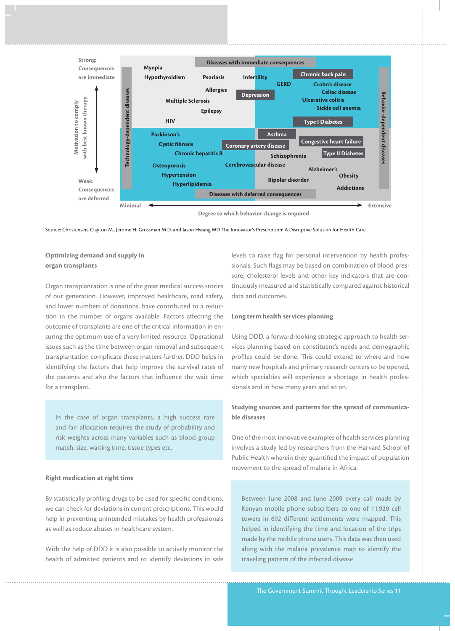

**Degree to which behavior change is required**

Source: Christensen, Clayton M., Jerome H. Grossman M.D. and Jason Hwang MD The Innovator's Prescription: A Disruptive Solution for Health Care

#### **Optimizing demand and supply in organ transplants**

Organ transplantation is one of the great medical success stories of our generation. However, improved healthcare, road safety, and lower numbers of donations, have contributed to a reduction in the number of organs available. Factors affecting the outcome of transplants are one of the critical information in ensuring the optimum use of a very limited resource. Operational issues such as the time between organ removal and subsequent transplantation complicate these matters further. DDD helps in identifying the factors that help improve the survival rates of the patients and also the factors that influence the wait time for a transplant.

In the case of organ transplants, a high success rate and fair allocation requires the study of probability and risk weights across many variables such as blood group match, size, waiting time, tissue types etc.

#### **Right medication at right time**

By statistically profiling drugs to be used for specific conditions, we can check for deviations in current prescriptions. This would help in preventing unintended mistakes by health professionals as well as reduce abuses in healthcare system.

With the help of DDD it is also possible to actively monitor the health of admitted patients and to identify deviations in safe levels to raise flag for personal intervention by health professionals. Such flags may be based on combination of blood pressure, cholesterol levels and other key indicators that are continuously measured and statistically compared against historical data and outcomes.

#### **Long term health services planning**

Using DDD, a forward-looking strategic approach to health services planning based on constituent's needs and demographic profiles could be done. This could extend to where and how many new hospitals and primary research centers to be opened, which specialties will experience a shortage in health professionals and in how many years and so on.

#### **Studying sources and patterns for the spread of communicable diseases**

One of the most innovative examples of health services planning involves a study led by researchers from the Harvard School of Public Health wherein they quantified the impact of population movement to the spread of malaria in Africa.

Between June 2008 and June 2009 every call made by Kenyan mobile phone subscribers to one of 11,920 cell towers in 692 different settlements were mapped. This helped in identifying the time and location of the trips made by the mobile phone users. This data was then used along with the malaria prevalence map to identify the traveling pattern of the infected disease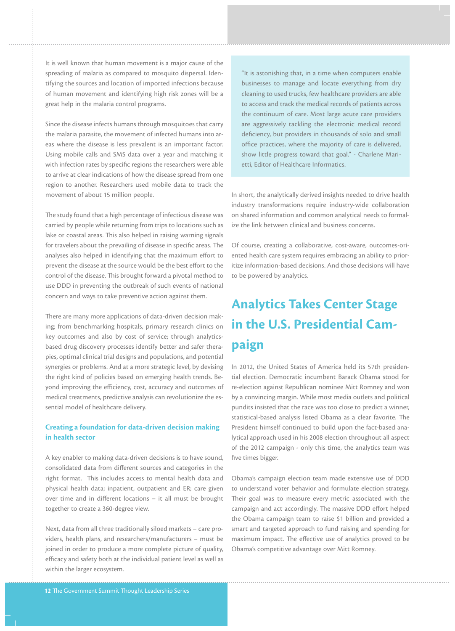It is well known that human movement is a major cause of the spreading of malaria as compared to mosquito dispersal. Identifying the sources and location of imported infections because of human movement and identifying high risk zones will be a great help in the malaria control programs.

Since the disease infects humans through mosquitoes that carry the malaria parasite, the movement of infected humans into areas where the disease is less prevalent is an important factor. Using mobile calls and SMS data over a year and matching it with infection rates by specific regions the researchers were able to arrive at clear indications of how the disease spread from one region to another. Researchers used mobile data to track the movement of about 15 million people.

The study found that a high percentage of infectious disease was carried by people while returning from trips to locations such as lake or coastal areas. This also helped in raising warning signals for travelers about the prevailing of disease in specific areas. The analyses also helped in identifying that the maximum effort to prevent the disease at the source would be the best effort to the control of the disease. This brought forward a pivotal method to use DDD in preventing the outbreak of such events of national concern and ways to take preventive action against them.

There are many more applications of data-driven decision making; from benchmarking hospitals, primary research clinics on key outcomes and also by cost of service; through analyticsbased drug discovery processes identify better and safer therapies, optimal clinical trial designs and populations, and potential synergies or problems. And at a more strategic level, by devising the right kind of policies based on emerging health trends. Beyond improving the efficiency, cost, accuracy and outcomes of medical treatments, predictive analysis can revolutionize the essential model of healthcare delivery.

#### **Creating a foundation for data-driven decision making in health sector**

A key enabler to making data-driven decisions is to have sound, consolidated data from different sources and categories in the right format. This includes access to mental health data and physical health data; inpatient, outpatient and ER; care given over time and in different locations – it all must be brought together to create a 360-degree view.

Next, data from all three traditionally siloed markets – care providers, health plans, and researchers/manufacturers – must be joined in order to produce a more complete picture of quality, efficacy and safety both at the individual patient level as well as within the larger ecosystem.

"It is astonishing that, in a time when computers enable businesses to manage and locate everything from dry cleaning to used trucks, few healthcare providers are able to access and track the medical records of patients across the continuum of care. Most large acute care providers are aggressively tackling the electronic medical record deficiency, but providers in thousands of solo and small office practices, where the majority of care is delivered, show little progress toward that goal." - Charlene Marietti, Editor of Healthcare Informatics.

In short, the analytically derived insights needed to drive health industry transformations require industry-wide collaboration on shared information and common analytical needs to formalize the link between clinical and business concerns.

Of course, creating a collaborative, cost-aware, outcomes-oriented health care system requires embracing an ability to prioritize information-based decisions. And those decisions will have to be powered by analytics.

### **Analytics Takes Center Stage in the U.S. Presidential Campaign**

In 2012, the United States of America held its 57th presidential election. Democratic incumbent Barack Obama stood for re-election against Republican nominee Mitt Romney and won by a convincing margin. While most media outlets and political pundits insisted that the race was too close to predict a winner, statistical-based analysis listed Obama as a clear favorite. The President himself continued to build upon the fact-based analytical approach used in his 2008 election throughout all aspect of the 2012 campaign - only this time, the analytics team was five times bigger.

Obama's campaign election team made extensive use of DDD to understand voter behavior and formulate election strategy. Their goal was to measure every metric associated with the campaign and act accordingly. The massive DDD effort helped the Obama campaign team to raise \$1 billion and provided a smart and targeted approach to fund raising and spending for maximum impact. The effective use of analytics proved to be Obama's competitive advantage over Mitt Romney.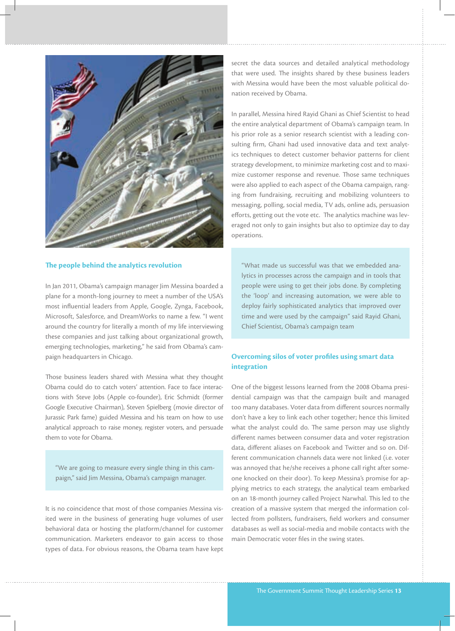

#### **The people behind the analytics revolution**

In Jan 2011, Obama's campaign manager Jim Messina boarded a plane for a month-long journey to meet a number of the USA's most influential leaders from Apple, Google, Zynga, Facebook, Microsoft, Salesforce, and DreamWorks to name a few. "I went around the country for literally a month of my life interviewing these companies and just talking about organizational growth, emerging technologies, marketing," he said from Obama's campaign headquarters in Chicago.

Those business leaders shared with Messina what they thought Obama could do to catch voters' attention. Face to face interactions with Steve Jobs (Apple co-founder), Eric Schmidt (former Google Executive Chairman), Steven Spielberg (movie director of Jurassic Park fame) guided Messina and his team on how to use analytical approach to raise money, register voters, and persuade them to vote for Obama.

"We are going to measure every single thing in this campaign," said Jim Messina, Obama's campaign manager.

It is no coincidence that most of those companies Messina visited were in the business of generating huge volumes of user behavioral data or hosting the platform/channel for customer communication. Marketers endeavor to gain access to those types of data. For obvious reasons, the Obama team have kept secret the data sources and detailed analytical methodology that were used. The insights shared by these business leaders with Messina would have been the most valuable political donation received by Obama.

In parallel, Messina hired Rayid Ghani as Chief Scientist to head the entire analytical department of Obama's campaign team. In his prior role as a senior research scientist with a leading consulting firm, Ghani had used innovative data and text analytics techniques to detect customer behavior patterns for client strategy development, to minimize marketing cost and to maximize customer response and revenue. Those same techniques were also applied to each aspect of the Obama campaign, ranging from fundraising, recruiting and mobilizing volunteers to messaging, polling, social media, TV ads, online ads, persuasion efforts, getting out the vote etc. The analytics machine was leveraged not only to gain insights but also to optimize day to day operations.

"What made us successful was that we embedded analytics in processes across the campaign and in tools that people were using to get their jobs done. By completing the 'loop' and increasing automation, we were able to deploy fairly sophisticated analytics that improved over time and were used by the campaign" said Rayid Ghani, Chief Scientist, Obama's campaign team

#### **Overcoming silos of voter profiles using smart data integration**

One of the biggest lessons learned from the 2008 Obama presidential campaign was that the campaign built and managed too many databases. Voter data from different sources normally don't have a key to link each other together; hence this limited what the analyst could do. The same person may use slightly different names between consumer data and voter registration data, different aliases on Facebook and Twitter and so on. Different communication channels data were not linked (i.e. voter was annoyed that he/she receives a phone call right after someone knocked on their door). To keep Messina's promise for applying metrics to each strategy, the analytical team embarked on an 18-month journey called Project Narwhal. This led to the creation of a massive system that merged the information collected from pollsters, fundraisers, field workers and consumer databases as well as social-media and mobile contacts with the main Democratic voter files in the swing states.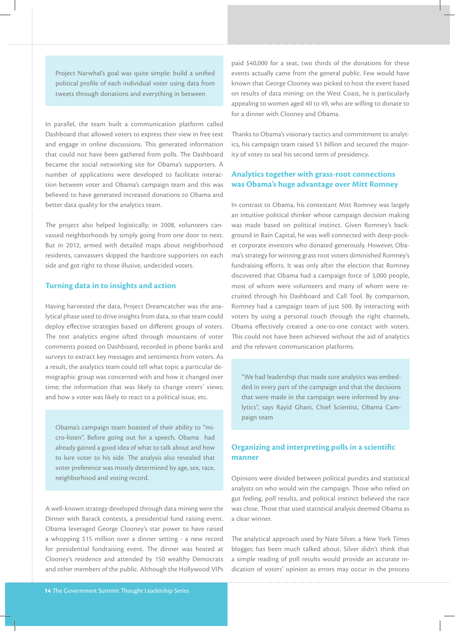Project Narwhal's goal was quite simple: build a unified political profile of each individual voter using data from tweets through donations and everything in between

In parallel, the team built a communication platform called Dashboard that allowed voters to express their view in free text and engage in online discussions. This generated information that could not have been gathered from polls. The Dashboard became the social networking site for Obama's supporters. A number of applications were developed to facilitate interaction between voter and Obama's campaign team and this was believed to have generated increased donations to Obama and better data quality for the analytics team.

The project also helped logistically; in 2008, volunteers canvassed neighborhoods by simply going from one door to next. But in 2012, armed with detailed maps about neighborhood residents, canvassers skipped the hardcore supporters on each side and got right to those illusive, undecided voters.

#### **Turning data in to insights and action**

Having harvested the data, Project Dreamcatcher was the analytical phase used to drive insights from data, so that team could deploy effective strategies based on different groups of voters. The text analytics engine sifted through mountains of voter comments posted on Dashboard, recorded in phone banks and surveys to extract key messages and sentiments from voters. As a result, the analytics team could tell what topic a particular demographic group was concerned with and how it changed over time; the information that was likely to change voters' views; and how a voter was likely to react to a political issue, etc.

Obama's campaign team boasted of their ability to "micro-listen". Before going out for a speech, Obama had already gained a good idea of what to talk about and how to lure voter to his side. The analysis also revealed that voter preference was mostly determined by age, sex, race, neighborhood and voting record.

A well-known strategy developed through data mining were the Dinner with Barack contests, a presidential fund raising event. Obama leveraged George Clooney's star power to have raised a whopping \$15 million over a dinner setting - a new record for presidential fundraising event. The dinner was hosted at Clooney's residence and attended by 150 wealthy Democrats and other members of the public. Although the Hollywood VIPs paid \$40,000 for a seat, two thirds of the donations for these events actually came from the general public. Few would have known that George Clooney was picked to host the event based on results of data mining: on the West Coast, he is particularly appealing to women aged 40 to 49, who are willing to donate to for a dinner with Clooney and Obama.

Thanks to Obama's visionary tactics and commitment to analytics, his campaign team raised \$1 billion and secured the majority of votes to seal his second term of presidency.

#### **Analytics together with grass-root connections was Obama's huge advantage over Mitt Romney**

In contrast to Obama, his contestant Mitt Romney was largely an intuitive political thinker whose campaign decision making was made based on political instinct. Given Romney's background in Bain Capital, he was well connected with deep-pocket corporate investors who donated generously. However, Obama's strategy for winning grass root voters diminished Romney's fundraising efforts. It was only after the election that Romney discovered that Obama had a campaign force of 3,000 people, most of whom were volunteers and many of whom were recruited through his Dashboard and Call Tool. By comparison, Romney had a campaign team of just 500. By interacting with voters by using a personal touch through the right channels, Obama effectively created a one-to-one contact with voters. This could not have been achieved without the aid of analytics and the relevant communication platforms.

"We had leadership that made sure analytics was embedded in every part of the campaign and that the decisions that were made in the campaign were informed by analytics", says Rayid Ghani, Chief Scientist, Obama Campaign team

#### **Organizing and interpreting polls in a scientific manner**

Opinions were divided between political pundits and statistical analysts on who would win the campaign. Those who relied on gut feeling, poll results, and political instinct believed the race was close. Those that used statistical analysis deemed Obama as a clear winner.

The analytical approach used by Nate Silver, a New York Times blogger, has been much talked about. Silver didn't think that a simple reading of poll results would provide an accurate indication of voters' opinion as errors may occur in the process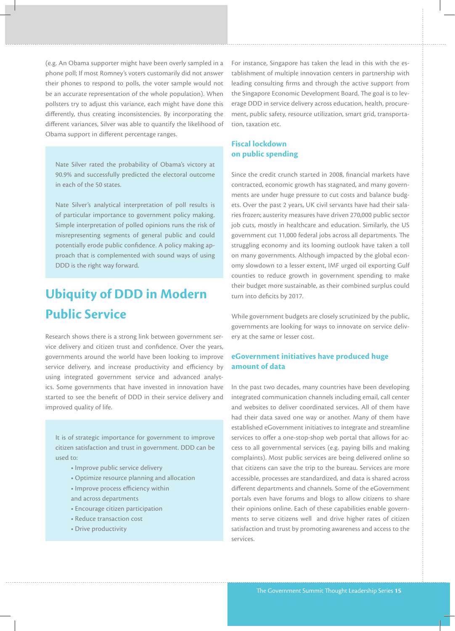(e.g. An Obama supporter might have been overly sampled in a phone poll; If most Romney's voters customarily did not answer their phones to respond to polls, the voter sample would not be an accurate representation of the whole population). When pollsters try to adjust this variance, each might have done this differently, thus creating inconsistencies. By incorporating the different variances, Silver was able to quantify the likelihood of Obama support in different percentage ranges.

Nate Silver rated the probability of Obama's victory at 90.9% and successfully predicted the electoral outcome in each of the 50 states.

Nate Silver's analytical interpretation of poll results is of particular importance to government policy making. Simple interpretation of polled opinions runs the risk of misrepresenting segments of general public and could potentially erode public confidence. A policy making approach that is complemented with sound ways of using DDD is the right way forward.

### **Ubiquity of DDD in Modern Public Service**

Research shows there is a strong link between government service delivery and citizen trust and confidence. Over the years, governments around the world have been looking to improve service delivery, and increase productivity and efficiency by using integrated government service and advanced analytics. Some governments that have invested in innovation have started to see the benefit of DDD in their service delivery and improved quality of life.

It is of strategic importance for government to improve citizen satisfaction and trust in government. DDD can be used to:

- Improve public service delivery
- Optimize resource planning and allocation
- Improve process efficiency within and across departments
- Encourage citizen participation
- Reduce transaction cost
- Drive productivity

For instance, Singapore has taken the lead in this with the establishment of multiple innovation centers in partnership with leading consulting firms and through the active support from the Singapore Economic Development Board. The goal is to leverage DDD in service delivery across education, health, procurement, public safety, resource utilization, smart grid, transportation, taxation etc.

#### **Fiscal lockdown on public spending**

Since the credit crunch started in 2008, financial markets have contracted, economic growth has stagnated, and many governments are under huge pressure to cut costs and balance budgets. Over the past 2 years, UK civil servants have had their salaries frozen; austerity measures have driven 270,000 public sector job cuts, mostly in healthcare and education. Similarly, the US government cut 11,000 federal jobs across all departments. The struggling economy and its looming outlook have taken a toll on many governments. Although impacted by the global economy slowdown to a lesser extent, IMF urged oil exporting Gulf counties to reduce growth in government spending to make their budget more sustainable, as their combined surplus could turn into deficits by 2017.

While government budgets are closely scrutinized by the public, governments are looking for ways to innovate on service delivery at the same or lesser cost.

#### **eGovernment initiatives have produced huge amount of data**

In the past two decades, many countries have been developing integrated communication channels including email, call center and websites to deliver coordinated services. All of them have had their data saved one way or another. Many of them have established eGovernment initiatives to integrate and streamline services to offer a one-stop-shop web portal that allows for access to all governmental services (e.g. paying bills and making complaints). Most public services are being delivered online so that citizens can save the trip to the bureau. Services are more accessible, processes are standardized, and data is shared across different departments and channels. Some of the eGovernment portals even have forums and blogs to allow citizens to share their opinions online. Each of these capabilities enable governments to serve citizens well and drive higher rates of citizen satisfaction and trust by promoting awareness and access to the services.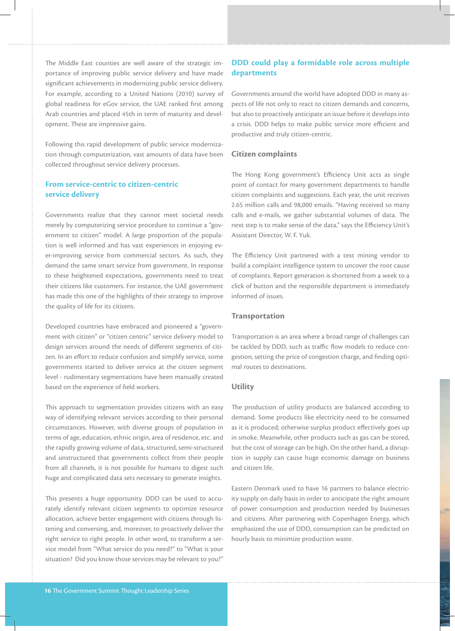The Middle East counties are well aware of the strategic importance of improving public service delivery and have made significant achievements in modernizing public service delivery. For example, according to a United Nations (2010) survey of global readiness for eGov service, the UAE ranked first among Arab countries and placed 45th in term of maturity and development. These are impressive gains.

Following this rapid development of public service modernization through computerization, vast amounts of data have been collected throughout service delivery processes.

#### **From service-centric to citizen-centric service delivery**

Governments realize that they cannot meet societal needs merely by computerizing service procedure to continue a "government to citizen" model. A large proportion of the population is well informed and has vast experiences in enjoying ever-improving service from commercial sectors. As such, they demand the same smart service from government. In response to these heightened expectations, governments need to treat their citizens like customers. For instance, the UAE government has made this one of the highlights of their strategy to improve the quality of life for its citizens.

Developed countries have embraced and pioneered a "government with citizen" or "citizen centric" service delivery model to design services around the needs of different segments of citizen. In an effort to reduce confusion and simplify service, some governments started to deliver service at the citizen segment level - rudimentary segmentations have been manually created based on the experience of field workers.

This approach to segmentation provides citizens with an easy way of identifying relevant services according to their personal circumstances. However, with diverse groups of population in terms of age, education, ethnic origin, area of residence, etc. and the rapidly growing volume of data, structured, semi-structured and unstructured that governments collect from their people from all channels, it is not possible for humans to digest such huge and complicated data sets necessary to generate insights.

This presents a huge opportunity. DDD can be used to accurately identify relevant citizen segments to optimize resource allocation, achieve better engagement with citizens through listening and conversing, and, moreover, to proactively deliver the right service to right people. In other word, to transform a service model from "What service do you need?" to "What is your situation? Did you know those services may be relevant to you?"

#### **DDD could play a formidable role across multiple departments**

Governments around the world have adopted DDD in many aspects of life not only to react to citizen demands and concerns, but also to proactively anticipate an issue before it develops into a crisis. DDD helps to make public service more efficient and productive and truly citizen-centric.

#### **Citizen complaints**

The Hong Kong government's Efficiency Unit acts as single point of contact for many government departments to handle citizen complaints and suggestions. Each year, the unit receives 2.65 million calls and 98,000 emails. "Having received so many calls and e-mails, we gather substantial volumes of data. The next step is to make sense of the data," says the Efficiency Unit's Assistant Director, W. F. Yuk.

The Efficiency Unit partnered with a text mining vendor to build a complaint intelligence system to uncover the root cause of complaints. Report generation is shortened from a week to a click of button and the responsible department is immediately informed of issues.

#### **Transportation**

Transportation is an area where a broad range of challenges can be tackled by DDD, such as traffic flow models to reduce congestion, setting the price of congestion charge, and finding optimal routes to destinations.

#### **Utility**

The production of utility products are balanced according to demand. Some products like electricity need to be consumed as it is produced; otherwise surplus product effectively goes up in smoke. Meanwhile, other products such as gas can be stored, but the cost of storage can be high. On the other hand, a disruption in supply can cause huge economic damage on business and citizen life.

Eastern Denmark used to have 16 partners to balance electricity supply on daily basis in order to anticipate the right amount of power consumption and production needed by businesses and citizens. After partnering with Copenhagen Energy, which emphasized the use of DDD, consumption can be predicted on hourly basis to minimize production waste.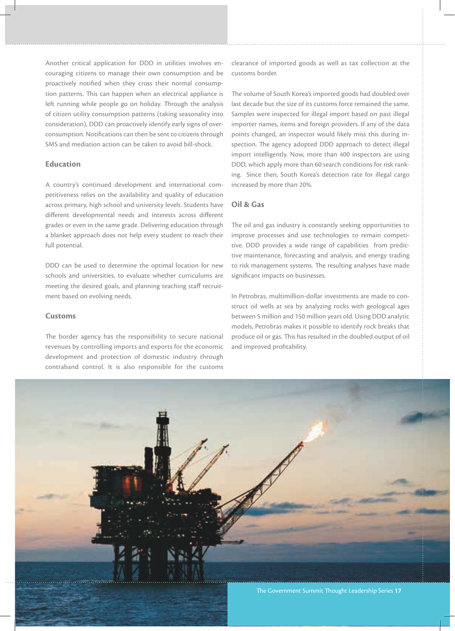Another critical application for DDD in utilities involves encouraging citizens to manage their own consumption and be proactively notified when they cross their normal consumption patterns. This can happen when an electrical appliance is left running while people go on holiday. Through the analysis of citizen utility consumption patterns (taking seasonality into consideration), DDD can proactively identify early signs of overconsumption. Notifications can then be sent to citizens through SMS and mediation action can be taken to avoid bill-shock.

#### **Education**

A country's continued development and international competitiveness relies on the availability and quality of education across primary, high school and university levels. Students have different developmental needs and interests across different grades or even in the same grade. Delivering education through a blanket approach does not help every student to reach their full potential.

DDD can be used to determine the optimal location for new schools and universities, to evaluate whether curriculums are meeting the desired goals, and planning teaching staff recruitment based on evolving needs.

#### **Customs**

The border agency has the responsibility to secure national revenues by controlling imports and exports for the economic development and protection of domestic industry through contraband control. It is also responsible for the customs clearance of imported goods as well as tax collection at the customs border.

The volume of South Korea's imported goods had doubled over last decade but the size of its customs force remained the same. Samples were inspected for illegal import based on past illegal importer names, items and foreign providers. If any of the data points changed, an inspector would likely miss this during inspection. The agency adopted DDD approach to detect illegal import intelligently. Now, more than 400 inspectors are using DDD, which apply more than 60 search conditions for risk ranking. Since then, South Korea's detection rate for illegal cargo increased by more than 20%.

#### **Oil & Gas**

The oil and gas industry is constantly seeking opportunities to improve processes and use technologies to remain competitive. DDD provides a wide range of capabilities from predictive maintenance, forecasting and analysis, and energy trading to risk management systems. The resulting analyses have made significant impacts on businesses.

In Petrobras, multimillion-dollar investments are made to construct oil wells at sea by analyzing rocks with geological ages between 5 million and 150 million years old. Using DDD analytic models, Petrobras makes it possible to identify rock breaks that produce oil or gas. This has resulted in the doubled output of oil and improved profitability.

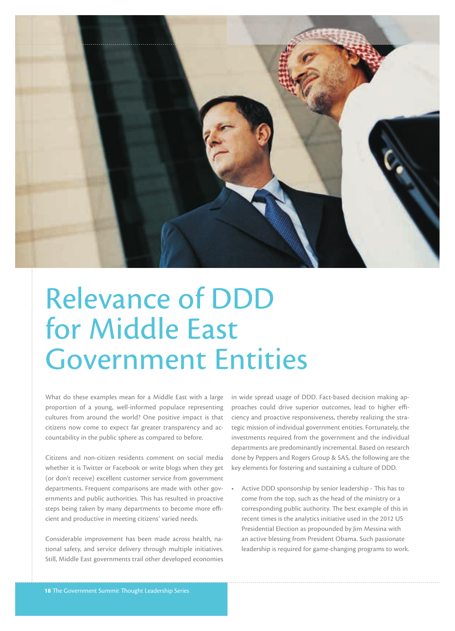

## Relevance of DDD for Middle East Government Entities

What do these examples mean for a Middle East with a large proportion of a young, well-informed populace representing cultures from around the world? One positive impact is that citizens now come to expect far greater transparency and accountability in the public sphere as compared to before.

Citizens and non-citizen residents comment on social media whether it is Twitter or Facebook or write blogs when they get (or don't receive) excellent customer service from government departments. Frequent comparisons are made with other governments and public authorities. This has resulted in proactive steps being taken by many departments to become more efficient and productive in meeting citizens' varied needs.

Considerable improvement has been made across health, national safety, and service delivery through multiple initiatives. Still, Middle East governments trail other developed economies in wide spread usage of DDD. Fact-based decision making approaches could drive superior outcomes, lead to higher efficiency and proactive responsiveness, thereby realizing the strategic mission of individual government entities. Fortunately, the investments required from the government and the individual departments are predominantly incremental. Based on research done by Peppers and Rogers Group & SAS, the following are the key elements for fostering and sustaining a culture of DDD.

Active DDD sponsorship by senior leadership - This has to come from the top, such as the head of the ministry or a corresponding public authority. The best example of this in recent times is the analytics initiative used in the 2012 US Presidential Election as propounded by Jim Messina with an active blessing from President Obama. Such passionate leadership is required for game-changing programs to work.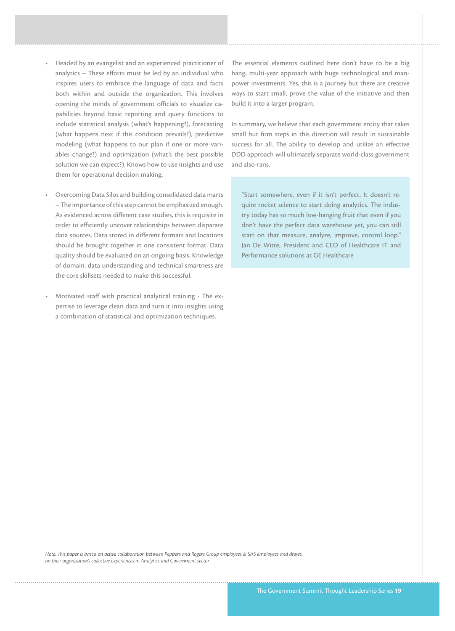- Headed by an evangelist and an experienced practitioner of analytics  $-$  These efforts must be led by an individual who inspires users to embrace the language of data and facts both within and outside the organization. This involves opening the minds of government officials to visualize capabilities beyond basic reporting and query functions to include statistical analysis (what's happening?), forecasting (what happens next if this condition prevails?), predictive modeling (what happens to our plan if one or more variables change?) and optimization (what's the best possible solution we can expect?). Knows how to use insights and use them for operational decision making.
- Overcoming Data Silos and building consolidated data marts – The importance of this step cannot be emphasized enough. As evidenced across different case studies, this is requisite in order to efficiently uncover relationships between disparate data sources. Data stored in different formats and locations should be brought together in one consistent format. Data quality should be evaluated on an ongoing basis. Knowledge of domain, data understanding and technical smartness are the core skillsets needed to make this successful.
- Motivated staff with practical analytical training The expertise to leverage clean data and turn it into insights using a combination of statistical and optimization techniques.

The essential elements outlined here don't have to be a big bang, multi-year approach with huge technological and manpower investments. Yes, this is a journey but there are creative ways to start small, prove the value of the initiative and then build it into a larger program.

In summary, we believe that each government entity that takes small but firm steps in this direction will result in sustainable success for all. The ability to develop and utilize an effective DDD approach will ultimately separate world-class government and also-rans.

"Start somewhere, even if it isn't perfect. It doesn't require rocket science to start doing analytics. The industry today has so much low-hanging fruit that even if you don't have the perfect data warehouse yet, you can still start on that measure, analyze, improve, control loop." Jan De Witte, President and CEO of Healthcare IT and Performance solutions at GE Healthcare

*Note: is paper is based on active collaboration between Peppers and Rogers Group employees & SAS employees and draws on their organization's collective experiences in Analytics and Government sector*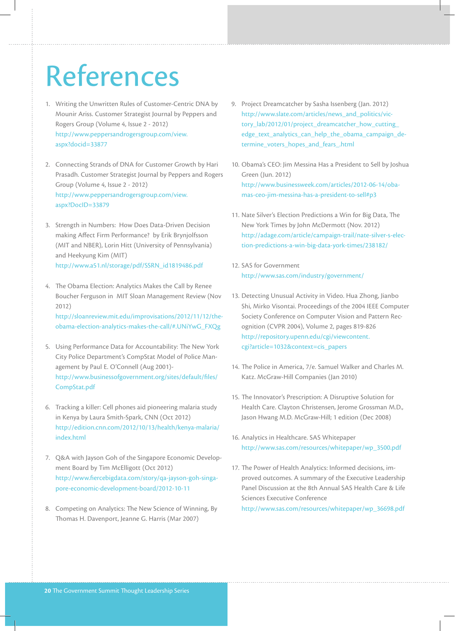## References

- 1. Writing the Unwritten Rules of Customer-Centric DNA by Mounir Ariss. Customer Strategist Journal by Peppers and Rogers Group (Volume 4, Issue 2 - 2012) http://www.peppersandrogersgroup.com/view. aspx?docid=33877
- 2. Connecting Strands of DNA for Customer Growth by Hari Prasadh. Customer Strategist Journal by Peppers and Rogers Group (Volume 4, Issue 2 - 2012) http://www.peppersandrogersgroup.com/view. aspx?DocID=33879
- 3. Strength in Numbers: How Does Data-Driven Decision making Affect Firm Performance? by Erik Brynjolfsson (MIT and NBER), Lorin Hitt (University of Pennsylvania) and Heekyung Kim (MIT) http://www.a51.nl/storage/pdf/SSRN\_id1819486.pdf
- 4. The Obama Election: Analytics Makes the Call by Renee Boucher Ferguson in MIT Sloan Management Review (Nov 2012)

http://sloanreview.mit.edu/improvisations/2012/11/12/theobama-election-analytics-makes-the-call/#.UNiYwG\_FXQg

- 5. Using Performance Data for Accountability: The New York City Police Department's CompStat Model of Police Management by Paul E. O'Connell (Aug 2001) http://www.businessofgovernment.org/sites/default/files/ CompStat.pdf
- 6. Tracking a killer: Cell phones aid pioneering malaria study in Kenya by Laura Smith-Spark, CNN (Oct 2012) http://edition.cnn.com/2012/10/13/health/kenya-malaria/ index.html
- 7. Q&A with Jayson Goh of the Singapore Economic Development Board by Tim McElligott (Oct 2012) http://www.fiercebigdata.com/story/qa-jayson-goh-singapore-economic-development-board/2012-10-11
- 8. Competing on Analytics: The New Science of Winning, By Thomas H. Davenport, Jeanne G. Harris (Mar 2007)
- 9. Project Dreamcatcher by Sasha Issenberg (Jan. 2012) http://www.slate.com/articles/news\_and\_politics/victory\_lab/2012/01/project\_dreamcatcher\_how\_cutting\_ edge\_text\_analytics\_can\_help\_the\_obama\_campaign\_determine\_voters\_hopes\_and\_fears\_.html
- 10. Obama's CEO: Jim Messina Has a President to Sell by Joshua Green (Jun. 2012) http://www.businessweek.com/articles/2012-06-14/obamas-ceo-jim-messina-has-a-president-to-sell#p3
- 11. Nate Silver's Election Predictions a Win for Big Data, The New York Times by John McDermott (Nov. 2012) http://adage.com/article/campaign-trail/nate-silver-s-election-predictions-a-win-big-data-york-times/238182/
- 12. SAS for Government http://www.sas.com/industry/government/
- 13. Detecting Unusual Activity in Video. Hua Zhong, Jianbo Shi, Mirko Visontai. Proceedings of the 2004 IEEE Computer Society Conference on Computer Vision and Pattern Recognition (CVPR 2004), Volume 2, pages 819-826 http://repository.upenn.edu/cgi/viewcontent. cgi?article=1032&context=cis\_papers
- 14. The Police in America, 7/e. Samuel Walker and Charles M. Katz. McGraw-Hill Companies (Jan 2010)
- 15. The Innovator's Prescription: A Disruptive Solution for Health Care. Clayton Christensen, Jerome Grossman M.D., Jason Hwang M.D. McGraw-Hill; 1 edition (Dec 2008)
- 16. Analytics in Healthcare. SAS Whitepaper http://www.sas.com/resources/whitepaper/wp\_3500.pdf
- 17. The Power of Health Analytics: Informed decisions, improved outcomes. A summary of the Executive Leadership Panel Discussion at the 8th Annual SAS Health Care & Life Sciences Executive Conference http://www.sas.com/resources/whitepaper/wp\_36698.pdf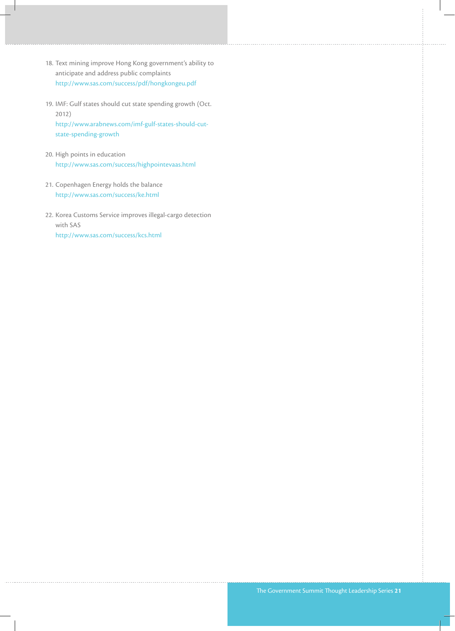- 18. Text mining improve Hong Kong government's ability to anticipate and address public complaints http://www.sas.com/success/pdf/hongkongeu.pdf
- 19. IMF: Gulf states should cut state spending growth (Oct. 2012) http://www.arabnews.com/imf-gulf-states-should-cutstate-spending-growth
- 20. High points in education http://www.sas.com/success/highpointevaas.html
- 21. Copenhagen Energy holds the balance http://www.sas.com/success/ke.html
- 22. Korea Customs Service improves illegal-cargo detection with SAS http://www.sas.com/success/kcs.html